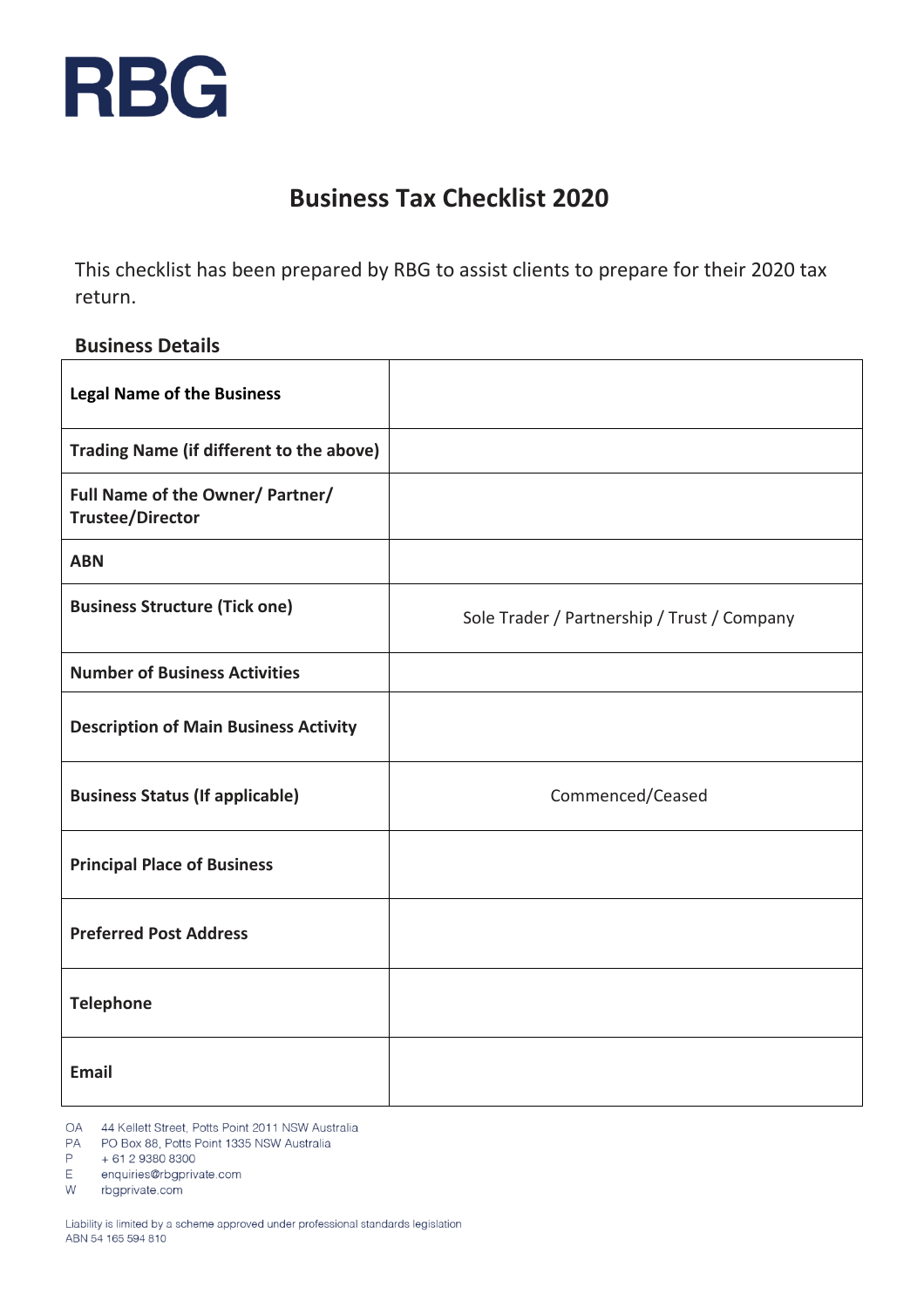

## **Business Tax Checklist 2020**

This checklist has been prepared by RBG to assist clients to prepare for their 2020 tax return.

٦

٦

## **Business Details**

 $\overline{\phantom{a}}$ 

| <b>Legal Name of the Business</b>                           |                                             |
|-------------------------------------------------------------|---------------------------------------------|
| <b>Trading Name (if different to the above)</b>             |                                             |
| Full Name of the Owner/ Partner/<br><b>Trustee/Director</b> |                                             |
| <b>ABN</b>                                                  |                                             |
| <b>Business Structure (Tick one)</b>                        | Sole Trader / Partnership / Trust / Company |
| <b>Number of Business Activities</b>                        |                                             |
| <b>Description of Main Business Activity</b>                |                                             |
| <b>Business Status (If applicable)</b>                      | Commenced/Ceased                            |
| <b>Principal Place of Business</b>                          |                                             |
| <b>Preferred Post Address</b>                               |                                             |
| <b>Telephone</b>                                            |                                             |
| <b>Email</b>                                                |                                             |

OA 44 Kellett Street, Potts Point 2011 NSW Australia

PA PO Box 88, Potts Point 1335 NSW Australia

P. + 61 2 9380 8300

enquiries@rbgprivate.com E.

W rbgprivate.com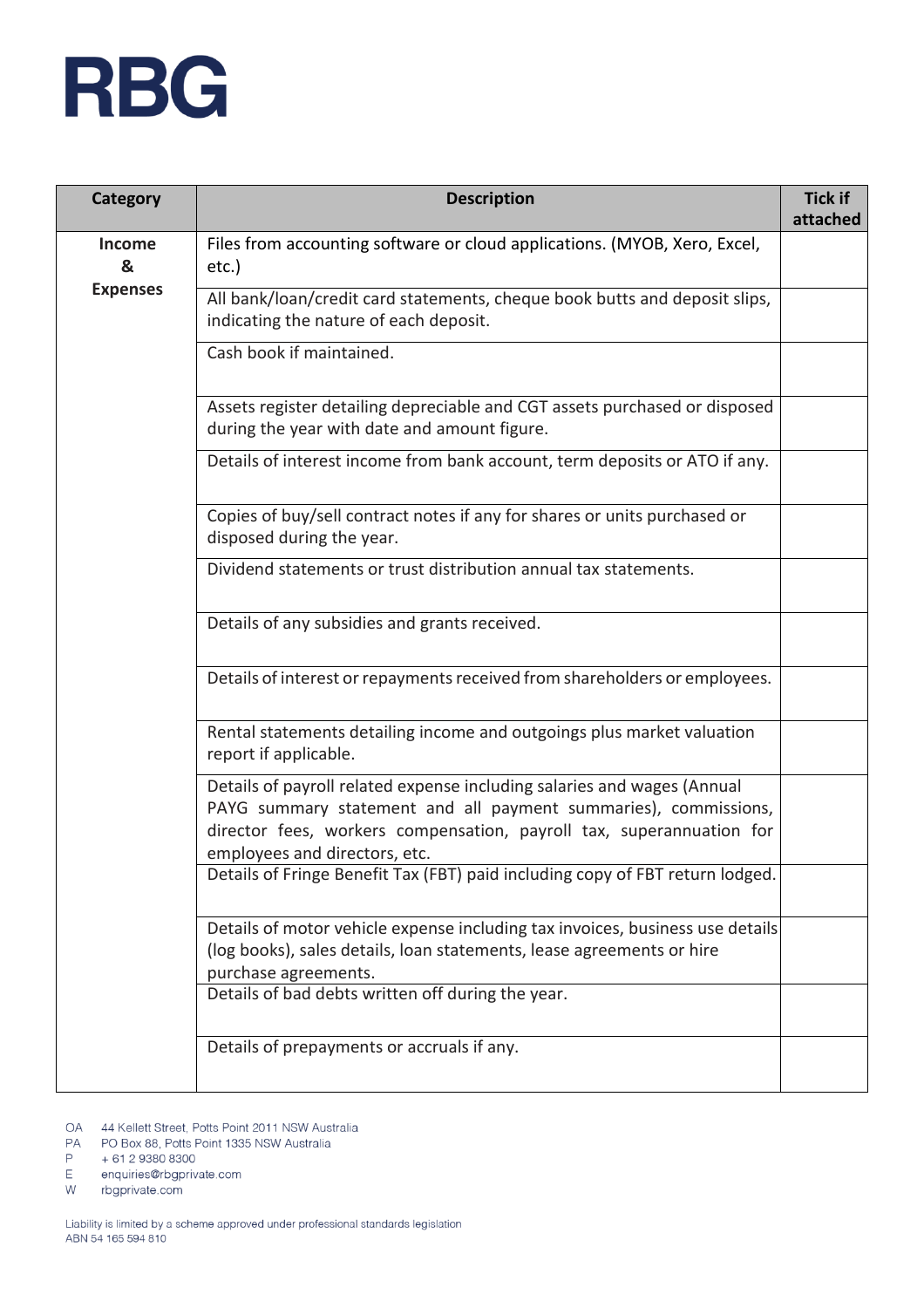## **RBG**

| <b>Category</b>                | <b>Description</b>                                                                                                                                                             | <b>Tick if</b><br>attached |
|--------------------------------|--------------------------------------------------------------------------------------------------------------------------------------------------------------------------------|----------------------------|
| Income<br>&<br><b>Expenses</b> | Files from accounting software or cloud applications. (MYOB, Xero, Excel,<br>$etc.$ )                                                                                          |                            |
|                                | All bank/loan/credit card statements, cheque book butts and deposit slips,<br>indicating the nature of each deposit.                                                           |                            |
|                                | Cash book if maintained.                                                                                                                                                       |                            |
|                                | Assets register detailing depreciable and CGT assets purchased or disposed<br>during the year with date and amount figure.                                                     |                            |
|                                | Details of interest income from bank account, term deposits or ATO if any.                                                                                                     |                            |
|                                | Copies of buy/sell contract notes if any for shares or units purchased or<br>disposed during the year.                                                                         |                            |
|                                | Dividend statements or trust distribution annual tax statements.                                                                                                               |                            |
|                                | Details of any subsidies and grants received.                                                                                                                                  |                            |
|                                | Details of interest or repayments received from shareholders or employees.                                                                                                     |                            |
|                                | Rental statements detailing income and outgoings plus market valuation<br>report if applicable.                                                                                |                            |
|                                | Details of payroll related expense including salaries and wages (Annual                                                                                                        |                            |
|                                | PAYG summary statement and all payment summaries), commissions,<br>director fees, workers compensation, payroll tax, superannuation for<br>employees and directors, etc.       |                            |
|                                | Details of Fringe Benefit Tax (FBT) paid including copy of FBT return lodged.                                                                                                  |                            |
|                                | Details of motor vehicle expense including tax invoices, business use details<br>(log books), sales details, loan statements, lease agreements or hire<br>purchase agreements. |                            |
|                                | Details of bad debts written off during the year.                                                                                                                              |                            |
|                                | Details of prepayments or accruals if any.                                                                                                                                     |                            |

OA 44 Kellett Street, Potts Point 2011 NSW Australia

PA PO Box 88, Potts Point 1335 NSW Australia

P. + 61 2 9380 8300

 $\mathsf{E}^$ enquiries@rbgprivate.com

W rbgprivate.com